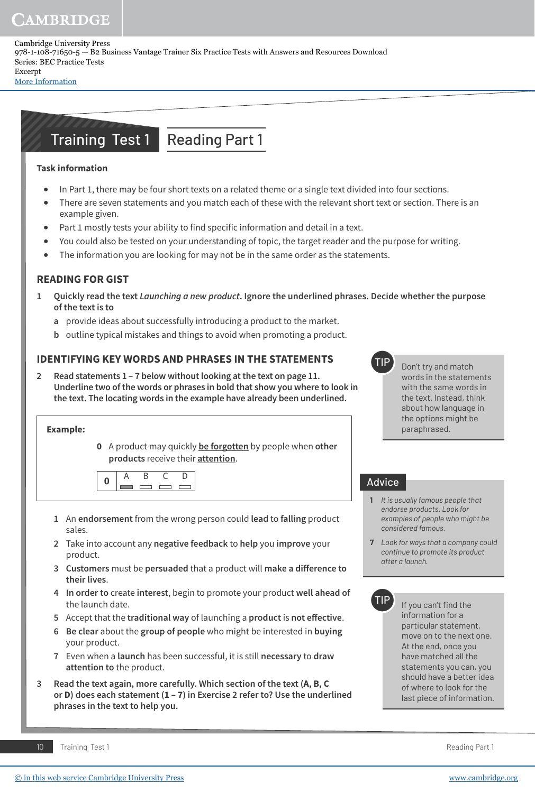Cambridge University Press 978-1-108-71650-5 — B2 Business Vantage Trainer Six Practice Tests with Answers and Resources Download Series: BEC Practice Tests Excerpt

[More Information](www.cambridge.org/9781108716505)

# Training Test 1 Reading Part 1

## **Task information**

- **•** In Part 1, there may be four short texts on a related theme or a single text divided into four sections.
- **•** There are seven statements and you match each of these with the relevant short text or section. There is an example given.
- Part 1 mostly tests your ability to find specific information and detail in a text.
- **•** You could also be tested on your understanding of topic, the target reader and the purpose for writing.
- **•** The information you are looking for may not be in the same order as the statements.

# **READING FOR GIST**

- **1 Quickly read the text Launching a new product. Ignore the underlined phrases. Decide whether the purpose of the text is to**
	- **a** provide ideas about successfully introducing a product to the market.
	- **b** outline typical mistakes and things to avoid when promoting a product.

## **IDENTIFYING KEY WORDS AND PHRASES IN THE STATEMENTS**

**2 Read statements 1 – 7 below without looking at the text on page 11. Underline two of the words or phrases in bold that show you where to look in the text. The locating words in the example have already been underlined.**

#### **Example:**

 **0** A product may quickly **be forgotten** by people when **other products** receive their **attention**.

- **1** An **endorsement** from the wrong person could **lead** to **falling** product sales.
- **2** Take into account any **negative feedback** to **help** you **improve** your product.
- **3 Customers** must be **persuaded** that a product will make a difference to **their lives**.
- **4 In order to** create **interest**, begin to promote your product **well ahead of** the launch date.
- **5** Accept that the **traditional way** of launching a **product** is **not effective**.
- **6 Be clear** about the **group of people** who might be interested in **buying** your product.
- **7** Even when a **launch** has been successful, it is still **necessary** to **draw attention to** the product.
- **3 Read the text again, more carefully. Which section of the text (A, B, C or D) does each statement (1 – 7) in Exercise 2 refer to? Use the underlined phrases in the text to help you.**



Don't try and match words in the statements with the same words in the text. Instead, think about how language in the options might be paraphrased.

#### Advice

- **1** *It is usually famous people that endorse products. Look for examples of people who might be considered famous.*
- **7** *Look for ways that a company could continue to promote its product after a launch.*



If you can't find the information for a particular statement, move on to the next one. At the end, once you have matched all the statements you can, you should have a better idea of where to look for the last piece of information.

10 Training Test 1 Reading Part 1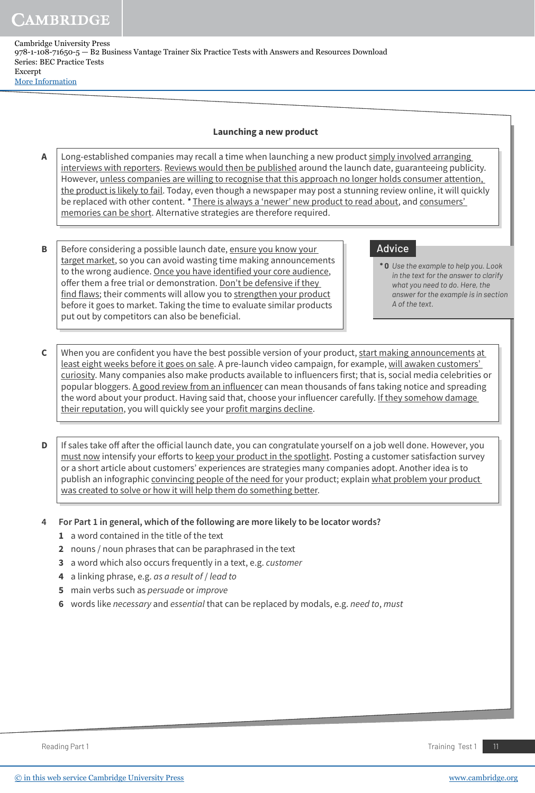Cambridge University Press 978-1-108-71650-5 — B2 Business Vantage Trainer Six Practice Tests with Answers and Resources Download Series: BEC Practice Tests Excerpt [More Information](www.cambridge.org/9781108716505)

#### **Launching a new product**

- **A** | Long-established companies may recall a time when launching a new product simply involved arranging interviews with reporters. Reviews would then be published around the launch date, guaranteeing publicity. However, unless companies are willing to recognise that this approach no longer holds consumer attention, the product is likely to fail. Today, even though a newspaper may post a stunning review online, it will quickly be replaced with other content. **\*** There is always a 'newer' new product to read about, and consumers' memories can be short. Alternative strategies are therefore required.
- **B** Before considering a possible launch date, ensure you know your target market, so you can avoid wasting time making announcements to the wrong audience. Once you have identified your core audience, offer them a free trial or demonstration. Don't be defensive if they find flaws; their comments will allow you to strengthen your product before it goes to market. Taking the time to evaluate similar products put out by competitors can also be beneficial.

## Advice

- **\* 0** *Use the example to help you. Look in the text for the answer to clarify what you need to do. Here, the answer for the example is in section A of the text.*
- **C** When you are confident you have the best possible version of your product, start making announcements at least eight weeks before it goes on sale. A pre-launch video campaign, for example, will awaken customers' curiosity. Many companies also make products available to influencers first; that is, social media celebrities or popular bloggers. A good review from an influencer can mean thousands of fans taking notice and spreading the word about your product. Having said that, choose your influencer carefully. If they somehow damage their reputation, you will quickly see your profit margins decline.
- **D** If sales take off after the official launch date, you can congratulate yourself on a job well done. However, you must now intensify your efforts to keep your product in the spotlight. Posting a customer satisfaction survey or a short article about customers' experiences are strategies many companies adopt. Another idea is to publish an infographic convincing people of the need for your product; explain what problem your product was created to solve or how it will help them do something better.
- **4 For Part 1 in general, which of the following are more likely to be locator words?**
	- **1** a word contained in the title of the text
	- **2** nouns / noun phrases that can be paraphrased in the text
	- **3** a word which also occurs frequently in a text, e.g. customer
	- **4** a linking phrase, e.g. as a result of / lead to
	- **5** main verbs such as persuade or improve
	- **6** words like necessary and essential that can be replaced by modals, e.g. need to, must

Reading Part 1 Training Test 1 11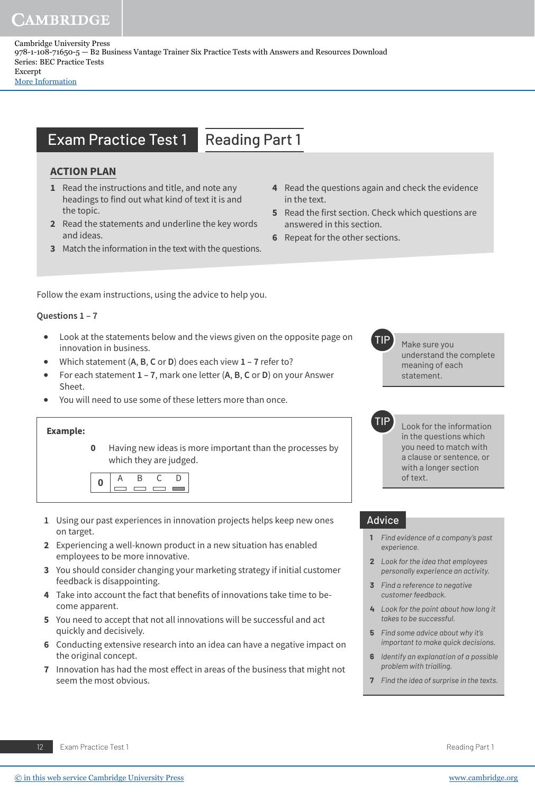Cambridge University Press 978-1-108-71650-5 — B2 Business Vantage Trainer Six Practice Tests with Answers and Resources Download Series: BEC Practice Tests Excerpt

[More Information](www.cambridge.org/9781108716505)

# **Exam Practice Test 1 Reading Part 1**

## **ACTION PLAN**

- **1** Read the instructions and title, and note any headings to find out what kind of text it is and the topic.
- **2** Read the statements and underline the key words and ideas.
- **3** Match the information in the text with the questions.
- **4** Read the questions again and check the evidence in the text.
- **5** Read the first section. Check which questions are answered in this section.
- **6** Repeat for the other sections.

Follow the exam instructions, using the advice to help you.

#### **Questions 1 – 7**

- **•** Look at the statements below and the views given on the opposite page on innovation in business.
- **•** Which statement (**A**, **B**, **C** or **D**) does each view **1 7** refer to?
- **•** For each statement **1 7**, mark one letter (**A**, **B**, **C** or **D**) on your Answer Sheet.
- **•** You will need to use some of these letters more than once.

#### **Example:**

**0** Having new ideas is more important than the processes by which they are judged.



- **1** Using our past experiences in innovation projects helps keep new ones on target.
- **2** Experiencing a well-known product in a new situation has enabled employees to be more innovative.
- **3** You should consider changing your marketing strategy if initial customer feedback is disappointing.
- **4** Take into account the fact that benefits of innovations take time to become apparent.
- **5** You need to accept that not all innovations will be successful and act quickly and decisively.
- **6** Conducting extensive research into an idea can have a negative impact on the original concept.
- **7** Innovation has had the most effect in areas of the business that might not seem the most obvious.

Make sure you understand the complete meaning of each statement.

Look for the information in the questions which you need to match with a clause or sentence, or with a longer section of text.

#### Advice

- **1** *Find evidence of a company's past experience.*
- **2** *Look for the idea that employees personally experience an activity.*
- **3** *Find a reference to negative customer feedback.*
- **4** *Look for the point about how long it takes to be successful.*
- **5** *Find some advice about why it's important to make quick decisions.*
- **6** *Identify an explanation of a possible problem with trialling.*
- **7** *Find the idea of surprise in the texts.*

12 Exam Practice Test 1 Reading Part 1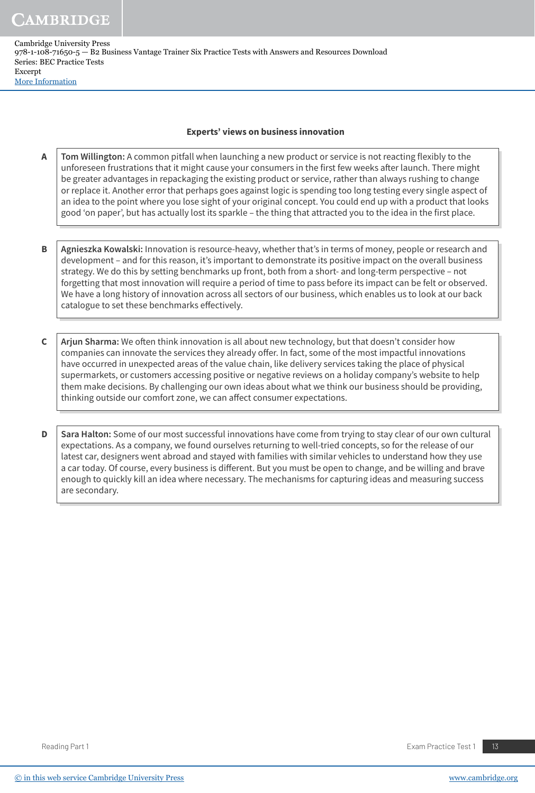Cambridge University Press 978-1-108-71650-5 — B2 Business Vantage Trainer Six Practice Tests with Answers and Resources Download Series: BEC Practice Tests Excerpt [More Information](www.cambridge.org/9781108716505)

#### **Experts' views on business innovation**

- **A | Tom Willington:** A common pitfall when launching a new product or service is not reacting flexibly to the unforeseen frustrations that it might cause your consumers in the first few weeks after launch. There might be greater advantages in repackaging the existing product or service, rather than always rushing to change or replace it. Another error that perhaps goes against logic is spending too long testing every single aspect of an idea to the point where you lose sight of your original concept. You could end up with a product that looks good 'on paper', but has actually lost its sparkle – the thing that attracted you to the idea in the first place.
- **B** Agnieszka Kowalski: Innovation is resource-heavy, whether that's in terms of money, people or research and development – and for this reason, it's important to demonstrate its positive impact on the overall business strategy. We do this by setting benchmarks up front, both from a short- and long-term perspective – not forgetting that most innovation will require a period of time to pass before its impact can be felt or observed. We have a long history of innovation across all sectors of our business, which enables us to look at our back catalogue to set these benchmarks effectively.
- **C Arjun Sharma:** We often think innovation is all about new technology, but that doesn't consider how companies can innovate the services they already offer. In fact, some of the most impactful innovations have occurred in unexpected areas of the value chain, like delivery services taking the place of physical supermarkets, or customers accessing positive or negative reviews on a holiday company's website to help them make decisions. By challenging our own ideas about what we think our business should be providing, thinking outside our comfort zone, we can affect consumer expectations.

**D** Sara Halton: Some of our most successful innovations have come from trying to stay clear of our own cultural expectations. As a company, we found ourselves returning to well-tried concepts, so for the release of our latest car, designers went abroad and stayed with families with similar vehicles to understand how they use a car today. Of course, every business is different. But you must be open to change, and be willing and brave enough to quickly kill an idea where necessary. The mechanisms for capturing ideas and measuring success are secondary.

Reading Part 1 **Exam Practice Test 1** 13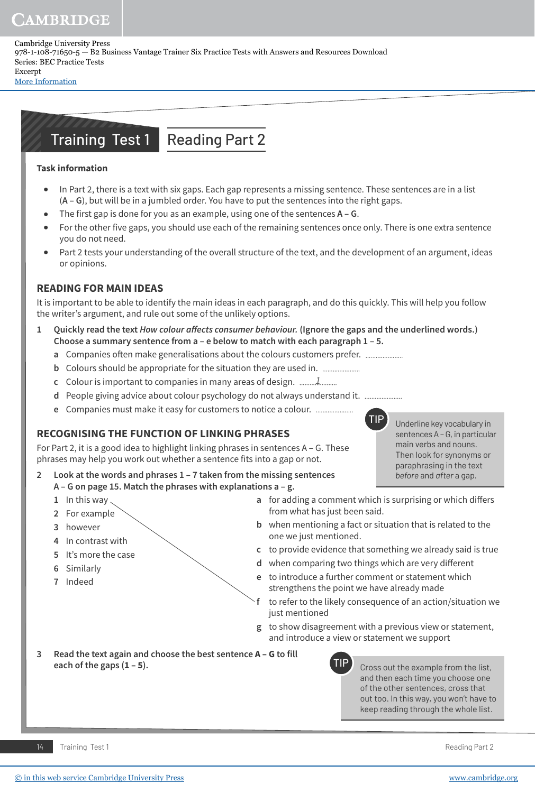Cambridge University Press 978-1-108-71650-5 — B2 Business Vantage Trainer Six Practice Tests with Answers and Resources Download Series: BEC Practice Tests Excerpt

[More Information](www.cambridge.org/9781108716505)

# Training Test 1 Reading Part 2

## **Task information**

- **•** In Part 2, there is a text with six gaps. Each gap represents a missing sentence. These sentences are in a list (**A – G**), but will be in a jumbled order. You have to put the sentences into the right gaps.
- **•** The first gap is done for you as an example, using one of the sentences **A G**.
- **•** For the other five gaps, you should use each of the remaining sentences once only. There is one extra sentence you do not need.
- **•** Part 2 tests your understanding of the overall structure of the text, and the development of an argument, ideas or opinions.

# **READING FOR MAIN IDEAS**

It is important to be able to identify the main ideas in each paragraph, and do this quickly. This will help you follow the writer's argument, and rule out some of the unlikely options.

- Quickly read the text *How colour affects consumer behaviour.* (Ignore the gaps and the underlined words.) **Choose a summary sentence from a – e below to match with each paragraph 1 – 5.** 
	- **a** Companies often make generalisations about the colours customers prefer. ......................
	- **b** Colours should be appropriate for the situation they are used in.
	- **c** Colour is important to companies in many areas of design. 1
	- **d** People giving advice about colour psychology do not always understand it.
	- **e** Companies must make it easy for customers to notice a colour.

# **RECOGNISING THE FUNCTION OF LINKING PHRASES**

For Part 2, it is a good idea to highlight linking phrases in sentences  $A - G$ . These phrases may help you work out whether a sentence fits into a gap or not.

**2 Look at the words and phrases 1 – 7 taken from the missing sentences A – G on page 15. Match the phrases with explanations a – g.**

- **1** In this way
- **2** For example
- **3** however
- **4** In contrast with
- **5** It's more the case
- **6** Similarly
- **7** Indeed
- **a** for adding a comment which is surprising or which differs from what has just been said.
- **b** when mentioning a fact or situation that is related to the one we just mentioned.
- **c** to provide evidence that something we already said is true
- **d** when comparing two things which are very different
- **e** to introduce a further comment or statement which strengthens the point we have already made
- **f** to refer to the likely consequence of an action/situation we just mentioned
- **g** to show disagreement with a previous view or statement, and introduce a view or statement we support
- **3 Read the text again and choose the best sentence A G to fill each of the gaps (1 – 5).**



Cross out the example from the list, and then each time you choose one of the other sentences, cross that out too. In this way, you won't have to keep reading through the whole list.

TIP Underline key vocabulary in

sentences A – G, in particular main verbs and nouns. Then look for synonyms or paraphrasing in the text *before* and *after* a gap.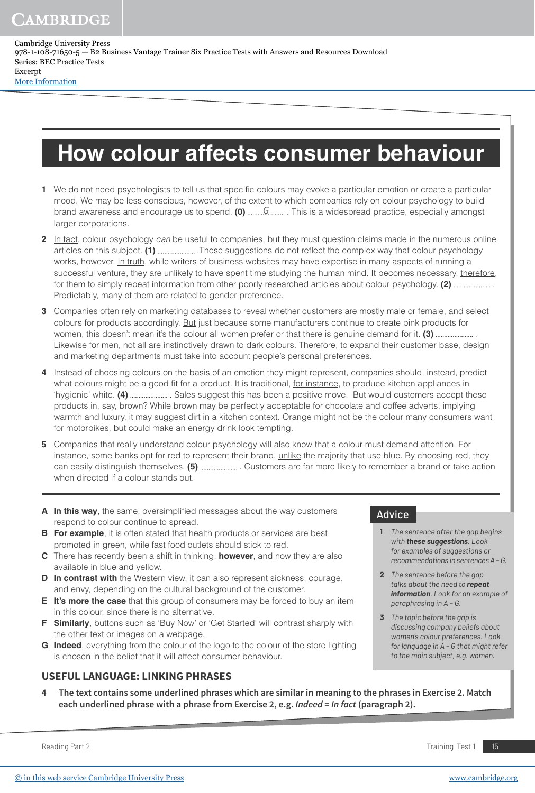Cambridge University Press 978-1-108-71650-5 — B2 Business Vantage Trainer Six Practice Tests with Answers and Resources Download Series: BEC Practice Tests Excerpt [More Information](www.cambridge.org/9781108716505)

# **How colour affects consumer behaviour**

- **1** We do not need psychologists to tell us that specific colours may evoke a particular emotion or create a particular mood. We may be less conscious, however, of the extent to which companies rely on colour psychology to build brand awareness and encourage us to spend. **(0)** G . This is a widespread practice, especially amongst larger corporations.
- **2** In fact, colour psychology can be useful to companies, but they must question claims made in the numerous online articles on this subject. (1) ..............................These suggestions do not reflect the complex way that colour psychology works, however. In truth, while writers of business websites may have expertise in many aspects of running a successful venture, they are unlikely to have spent time studying the human mind. It becomes necessary, therefore, for them to simply repeat information from other poorly researched articles about colour psychology. **(2)** . Predictably, many of them are related to gender preference.
- **3** Companies often rely on marketing databases to reveal whether customers are mostly male or female, and select colours for products accordingly. But just because some manufacturers continue to create pink products for women, this doesn't mean it's the colour all women prefer or that there is genuine demand for it. **(3)** . Likewise for men, not all are instinctively drawn to dark colours. Therefore, to expand their customer base, design and marketing departments must take into account people's personal preferences.
- **4** Instead of choosing colours on the basis of an emotion they might represent, companies should, instead, predict what colours might be a good fit for a product. It is traditional, for instance, to produce kitchen appliances in 'hygienic' white. (4) ................................. Sales suggest this has been a positive move. But would customers accept these products in, say, brown? While brown may be perfectly acceptable for chocolate and coffee adverts, implying warmth and luxury, it may suggest dirt in a kitchen context. Orange might not be the colour many consumers want for motorbikes, but could make an energy drink look tempting.
- **5** Companies that really understand colour psychology will also know that a colour must demand attention. For instance, some banks opt for red to represent their brand, unlike the majority that use blue. By choosing red, they can easily distinguish themselves. **(5)** . Customers are far more likely to remember a brand or take action when directed if a colour stands out.
- **A In this way**, the same, oversimplified messages about the way customers respond to colour continue to spread.
- **B** For example, it is often stated that health products or services are best promoted in green, while fast food outlets should stick to red.
- **C** There has recently been a shift in thinking, **however**, and now they are also available in blue and yellow.
- **D** In contrast with the Western view, it can also represent sickness, courage, and envy, depending on the cultural background of the customer.
- **E It's more the case** that this group of consumers may be forced to buy an item in this colour, since there is no alternative.
- **F Similarly**, buttons such as 'Buy Now' or 'Get Started' will contrast sharply with the other text or images on a webpage.
- **G Indeed**, everything from the colour of the logo to the colour of the store lighting is chosen in the belief that it will affect consumer behaviour.

#### **USEFUL LANGUAGE: LINKING PHRASES**

**4 The text contains some underlined phrases which are similar in meaning to the phrases in Exercise 2. Match each underlined phrase with a phrase from Exercise 2, e.g. Indeed = In fact (paragraph 2).**

Reading Part 2 **Training Test 1** 15

**1** *The sentence after the gap begins with these suggestions. Look for examples of suggestions or recommendations in sentences A – G.*

**2** *The sentence before the gap talks about the need to repeat information. Look for an example of* 

*discussing company beliefs about women's colour preferences. Look for language in A – G that might refer to the main subject, e.g. women.*

*paraphrasing in A – G.* **3** *The topic before the gap is* 

Advice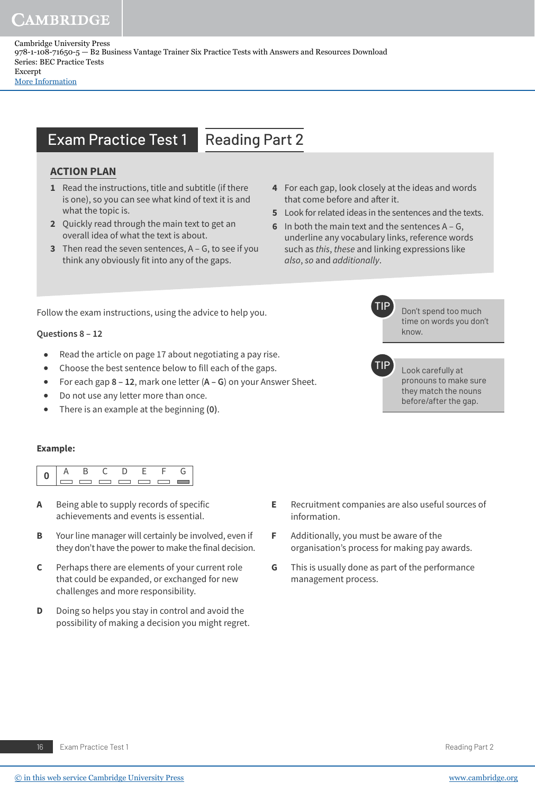Cambridge University Press 978-1-108-71650-5 — B2 Business Vantage Trainer Six Practice Tests with Answers and Resources Download Series: BEC Practice Tests Excerpt

[More Information](www.cambridge.org/9781108716505)

# **Exam Practice Test 1 Reading Part 2**

## **ACTION PLAN**

- **1** Read the instructions, title and subtitle (if there is one), so you can see what kind of text it is and what the topic is.
- **2** Quickly read through the main text to get an overall idea of what the text is about.
- **3** Then read the seven sentences, A G, to see if you think any obviously fit into any of the gaps.
- **4** For each gap, look closely at the ideas and words that come before and after it.
- **5** Look for related ideas in the sentences and the texts.
- **6** In both the main text and the sentences  $A G$ , underline any vocabulary links, reference words such as this, these and linking expressions like also, so and additionally.

Don't spend too much time on words you don't

Look carefully at pronouns to make sure they match the nouns before/after the gap.

know.

Follow the exam instructions, using the advice to help you.

#### **Questions 8 – 12**

- **•** Read the article on page 17 about negotiating a pay rise.
- **•** Choose the best sentence below to fill each of the gaps.
- **•** For each gap **8 12**, mark one letter (**A G**) on your Answer Sheet.
- **•** Do not use any letter more than once.
- **•** There is an example at the beginning **(0)**.

#### **Example:**

|  | $-$ | ____ | $\overline{\phantom{a}}$ |  |
|--|-----|------|--------------------------|--|

- **A** Being able to supply records of specific achievements and events is essential.
- **B** Your line manager will certainly be involved, even if they don't have the power to make the final decision.
- **C** Perhaps there are elements of your current role that could be expanded, or exchanged for new challenges and more responsibility.
- **D** Doing so helps you stay in control and avoid the possibility of making a decision you might regret.
- **E** Recruitment companies are also useful sources of
- **F** Additionally, you must be aware of the organisation's process for making pay awards.

information.

**G** This is usually done as part of the performance management process.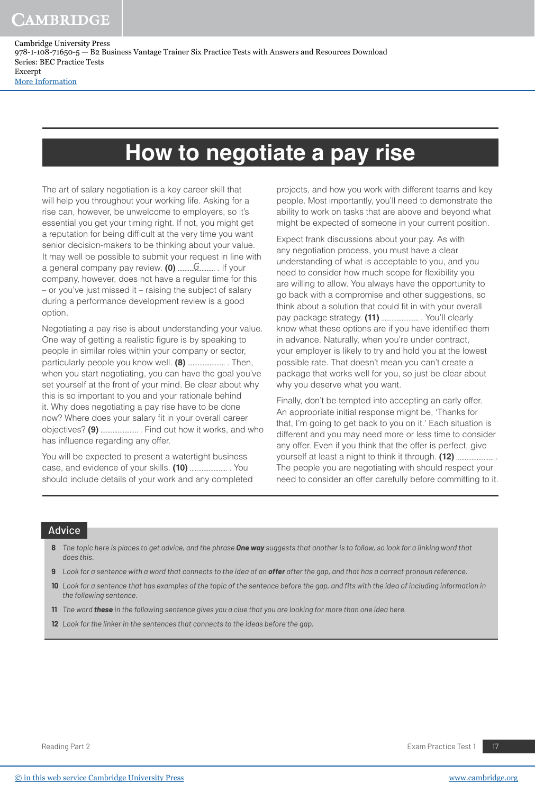Cambridge University Press 978-1-108-71650-5 — B2 Business Vantage Trainer Six Practice Tests with Answers and Resources Download Series: BEC Practice Tests Excerpt

[More Information](www.cambridge.org/9781108716505)

# **How to negotiate a pay rise**

The art of salary negotiation is a key career skill that will help you throughout your working life. Asking for a rise can, however, be unwelcome to employers, so it's essential you get your timing right. If not, you might get a reputation for being difficult at the very time you want senior decision-makers to be thinking about your value. It may well be possible to submit your request in line with a general company pay review. (0) .........G........... If your company, however, does not have a regular time for this – or you've just missed it – raising the subject of salary during a performance development review is a good option.

Negotiating a pay rise is about understanding your value. One way of getting a realistic figure is by speaking to people in similar roles within your company or sector, particularly people you know well. **(8)** . Then, when you start negotiating, you can have the goal you've set yourself at the front of your mind. Be clear about why this is so important to you and your rationale behind it. Why does negotiating a pay rise have to be done now? Where does your salary fit in your overall career objectives? **(9)** . Find out how it works, and who has influence regarding any offer.

You will be expected to present a watertight business case, and evidence of your skills. (10) ....................... You should include details of your work and any completed projects, and how you work with different teams and key people. Most importantly, you'll need to demonstrate the ability to work on tasks that are above and beyond what might be expected of someone in your current position.

Expect frank discussions about your pay. As with any negotiation process, you must have a clear understanding of what is acceptable to you, and you need to consider how much scope for flexibility you are willing to allow. You always have the opportunity to go back with a compromise and other suggestions, so think about a solution that could fit in with your overall pay package strategy. (11) ........................... You'll clearly know what these options are if you have identified them in advance. Naturally, when you're under contract, your employer is likely to try and hold you at the lowest possible rate. That doesn't mean you can't create a package that works well for you, so just be clear about why you deserve what you want.

Finally, don't be tempted into accepting an early offer. An appropriate initial response might be, 'Thanks for that, I'm going to get back to you on it.' Each situation is different and you may need more or less time to consider any offer. Even if you think that the offer is perfect, give yourself at least a night to think it through. **(12)** . The people you are negotiating with should respect your need to consider an offer carefully before committing to it.

#### Advice

- **8** *The topic here is places to get advice, and the phrase One way suggests that another is to follow, so look for a linking word that does this.*
- **9** *Look for a sentence with a word that connects to the idea of an offer after the gap, and that has a correct pronoun reference.*
- **10** Look for a sentence that has examples of the topic of the sentence before the gap, and fits with the idea of including information in *the following sentence.*
- **11** *The word these in the following sentence gives you a clue that you are looking for more than one idea here.*
- **12** *Look for the linker in the sentences that connects to the ideas before the gap.*

Reading Part 2 **Exam Practice Test 1** 2 **Exam Practice Test 1** 2 **Exam Practice Test 1** 2 **Exam Practice Test 1** 2 **17**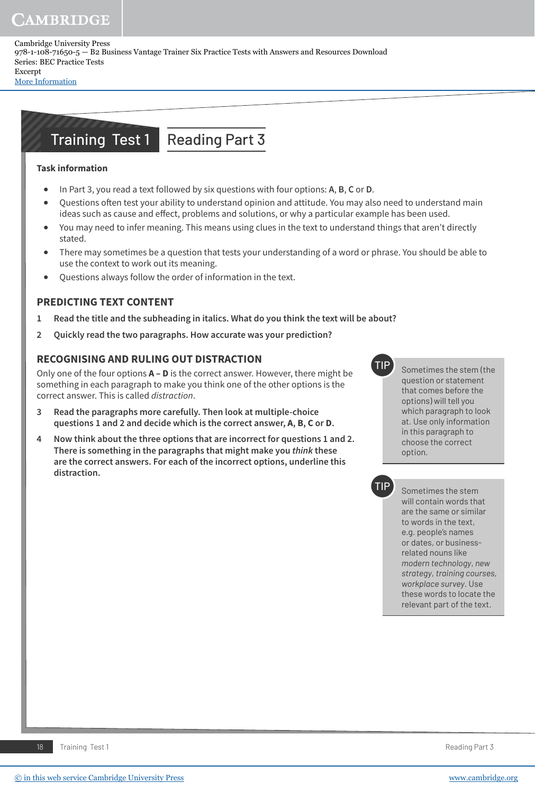Cambridge University Press 978-1-108-71650-5 — B2 Business Vantage Trainer Six Practice Tests with Answers and Resources Download Series: BEC Practice Tests Excerpt

[More Information](www.cambridge.org/9781108716505)

# Training Test 1 Reading Part 3

## **Task information**

- **•** In Part 3, you read a text followed by six questions with four options: **A**, **B**, **C** or **D**.
- Questions often test your ability to understand opinion and attitude. You may also need to understand main ideas such as cause and effect, problems and solutions, or why a particular example has been used.
- **•** You may need to infer meaning. This means using clues in the text to understand things that aren't directly stated.
- **•** There may sometimes be a question that tests your understanding of a word or phrase. You should be able to use the context to work out its meaning.
- **•** Questions always follow the order of information in the text.

# **PREDICTING TEXT CONTENT**

- **1 Read the title and the subheading in italics. What do you think the text will be about?**
- **2 Quickly read the two paragraphs. How accurate was your prediction?**

## **RECOGNISING AND RULING OUT DISTRACTION**

Only one of the four options **A – D** is the correct answer. However, there might be something in each paragraph to make you think one of the other options is the correct answer. This is called distraction.

- **3 Read the paragraphs more carefully. Then look at multiple-choice questions 1 and 2 and decide which is the correct answer, A, B, C or D.**
- **4 Now think about the three options that are incorrect for questions 1 and 2. There is something in the paragraphs that might make you think these are the correct answers. For each of the incorrect options, underline this distraction.**



TIP Sometimes the stem (the question or statement that comes before the options) will tell you which paragraph to look at. Use only information in this paragraph to choose the correct option.



Sometimes the stem will contain words that are the same or similar to words in the text, e.g. people's names or dates, or businessrelated nouns like *modern technology*, *new strategy*, *training courses*, *workplace survey*. Use these words to locate the relevant part of the text.